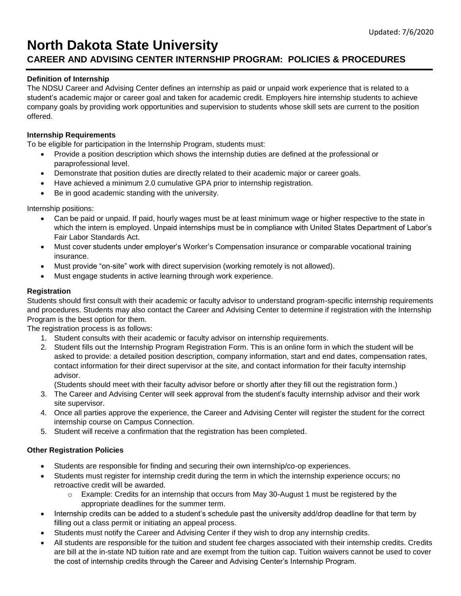# **North Dakota State University**

# **CAREER AND ADVISING CENTER INTERNSHIP PROGRAM: POLICIES & PROCEDURES**

# **Definition of Internship**

The NDSU Career and Advising Center defines an internship as paid or unpaid work experience that is related to a student's academic major or career goal and taken for academic credit. Employers hire internship students to achieve company goals by providing work opportunities and supervision to students whose skill sets are current to the position offered.

### **Internship Requirements**

To be eligible for participation in the Internship Program, students must:

- Provide a position description which shows the internship duties are defined at the professional or paraprofessional level.
- Demonstrate that position duties are directly related to their academic major or career goals.
- Have achieved a minimum 2.0 cumulative GPA prior to internship registration.
- Be in good academic standing with the university.

Internship positions:

- Can be paid or unpaid. If paid, hourly wages must be at least minimum wage or higher respective to the state in which the intern is employed. Unpaid internships must be in compliance with United States Department of Labor's Fair Labor Standards Act.
- Must cover students under employer's Worker's Compensation insurance or comparable vocational training insurance.
- Must provide "on-site" work with direct supervision (working remotely is not allowed).
- Must engage students in active learning through work experience.

# **Registration**

Students should first consult with their academic or faculty advisor to understand program-specific internship requirements and procedures. Students may also contact the Career and Advising Center to determine if registration with the Internship Program is the best option for them.

The registration process is as follows:

- 1. Student consults with their academic or faculty advisor on internship requirements.
- 2. Student fills out the Internship Program Registration Form. This is an online form in which the student will be asked to provide: a detailed position description, company information, start and end dates, compensation rates, contact information for their direct supervisor at the site, and contact information for their faculty internship advisor.

(Students should meet with their faculty advisor before or shortly after they fill out the registration form.)

- 3. The Career and Advising Center will seek approval from the student's faculty internship advisor and their work site supervisor.
- 4. Once all parties approve the experience, the Career and Advising Center will register the student for the correct internship course on Campus Connection.
- 5. Student will receive a confirmation that the registration has been completed.

### **Other Registration Policies**

- Students are responsible for finding and securing their own internship/co-op experiences.
- Students must register for internship credit during the term in which the internship experience occurs; no retroactive credit will be awarded.
	- $\circ$  Example: Credits for an internship that occurs from May 30-August 1 must be registered by the appropriate deadlines for the summer term.
- Internship credits can be added to a student's schedule past the university add/drop deadline for that term by filling out a class permit or initiating an appeal process.
- Students must notify the Career and Advising Center if they wish to drop any internship credits.
- All students are responsible for the tuition and student fee charges associated with their internship credits. Credits are bill at the in-state ND tuition rate and are exempt from the tuition cap. Tuition waivers cannot be used to cover the cost of internship credits through the Career and Advising Center's Internship Program.